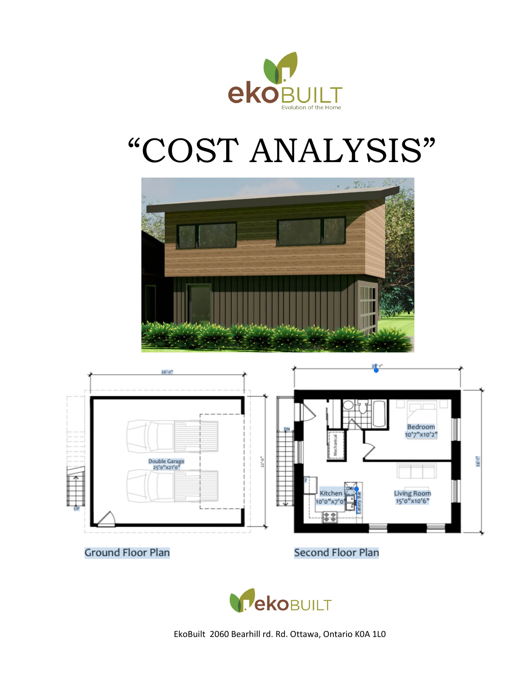

# "COST ANALYSIS"





**Ground Floor Plan** 

**Second Floor Plan** 

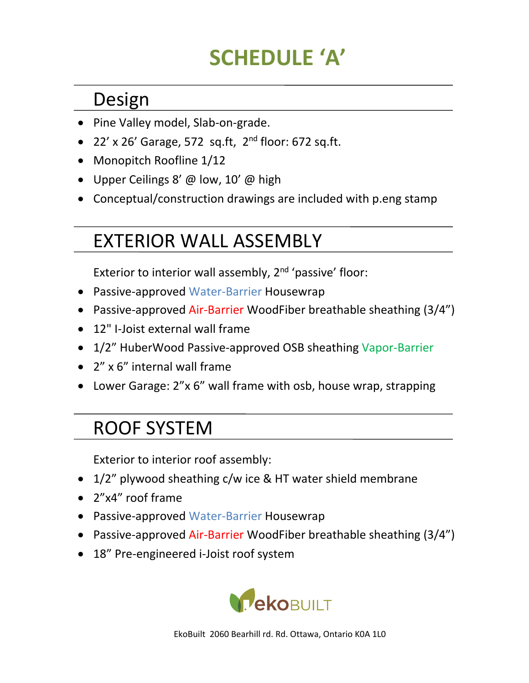# **SCHEDULE 'A'**

#### Design

- Pine Valley model, Slab-on-grade.
- 22' x 26' Garage, 572 sq.ft,  $2^{nd}$  floor: 672 sq.ft.
- Monopitch Roofline 1/12
- Upper Ceilings 8'  $\omega$  low, 10'  $\omega$  high
- Conceptual/construction drawings are included with p.eng stamp

# EXTERIOR WALL ASSEMBLY

Exterior to interior wall assembly,  $2<sup>nd</sup>$  'passive' floor:

- Passive-approved Water-Barrier Housewrap
- Passive-approved Air-Barrier WoodFiber breathable sheathing (3/4")
- $\bullet$  12" I-Joist external wall frame
- 1/2" HuberWood Passive-approved OSB sheathing Vapor-Barrier
- $\bullet$   $\frac{2}{x}$  of  $\frac{2}{x}$  internal wall frame
- Lower Garage: 2"x 6" wall frame with osb, house wrap, strapping

#### ROOF SYSTEM

Exterior to interior roof assembly:

- $1/2$ " plywood sheathing c/w ice & HT water shield membrane
- 2"x4" roof frame
- Passive-approved Water-Barrier Housewrap
- Passive-approved Air-Barrier WoodFiber breathable sheathing (3/4")
- 18" Pre-engineered i-Joist roof system

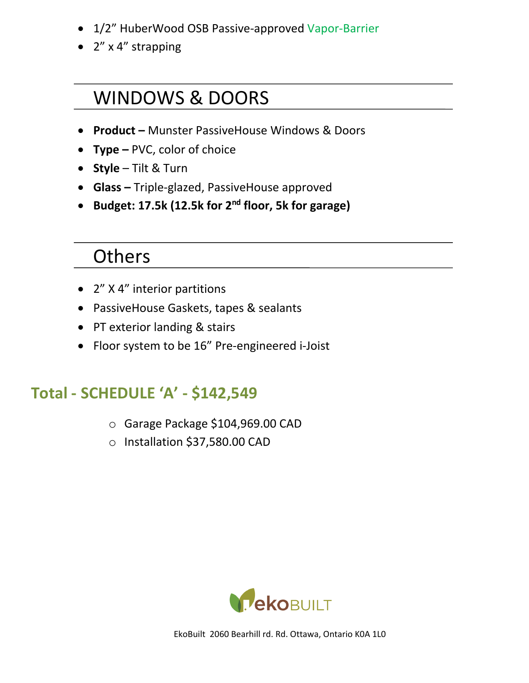- 1/2" HuberWood OSB Passive-approved Vapor-Barrier
- 2" x 4" strapping

#### WINDOWS & DOORS

- **Product –** Munster PassiveHouse Windows & Doors
- **Type** PVC, color of choice
- **Style** Tilt & Turn
- Glass Triple-glazed, PassiveHouse approved
- **Budget: 17.5k (12.5k for 2nd floor, 5k for garage)**

#### **Others**

- $2''$  X 4" interior partitions
- PassiveHouse Gaskets, tapes & sealants
- PT exterior landing & stairs
- Floor system to be 16" Pre-engineered i-Joist

#### **Total - SCHEDULE 'A' - \$142,549**

- $\circ$  Garage Package \$104,969.00 CAD
- o Installation \$37,580.00 CAD

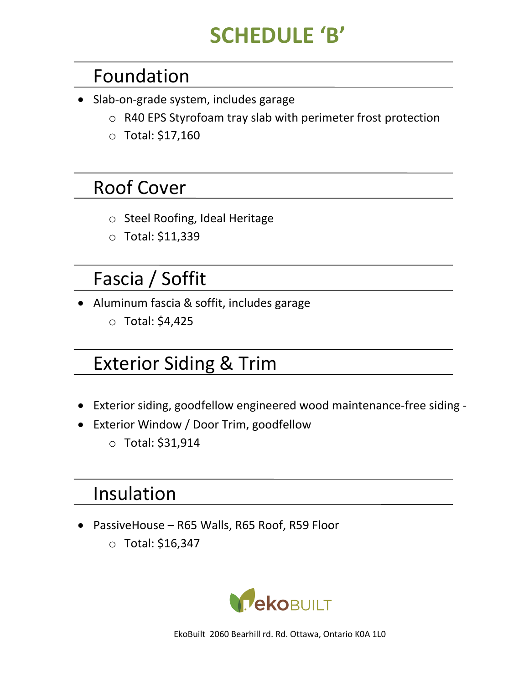# **SCHEDULE 'B'**

#### Foundation

- Slab-on-grade system, includes garage
	- $\circ$  R40 EPS Styrofoam tray slab with perimeter frost protection
	- $\circ$  Total: \$17,160

#### **Roof Cover**

- o Steel Roofing, Ideal Heritage
- $\circ$  Total: \$11,339

# Fascia / Soffit

- Aluminum fascia & soffit, includes garage
	- $\circ$  Total: \$4,425

## **Exterior Siding & Trim**

- Exterior siding, goodfellow engineered wood maintenance-free siding -
- Exterior Window / Door Trim, goodfellow
	- o Total: \$31,914

#### Insulation

- PassiveHouse R65 Walls, R65 Roof, R59 Floor
	- $\circ$  Total: \$16,347

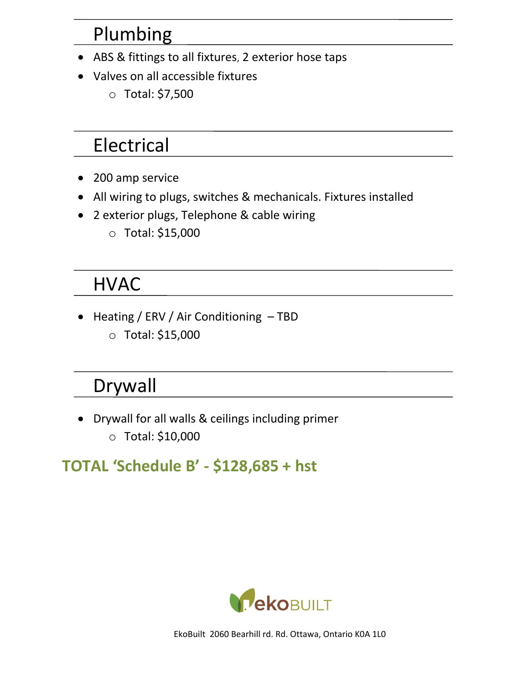# Plumbing

- ABS & fittings to all fixtures, 2 exterior hose taps
- Valves on all accessible fixtures
	- o Total: \$7,500

# Electrical

- 200 amp service
- All wiring to plugs, switches & mechanicals. Fixtures installed
- 2 exterior plugs, Telephone & cable wiring
	- $\circ$  Total: \$15,000

## **HVAC**

• Heating / ERV / Air Conditioning - TBD o Total: \$15,000

## Drywall

• Drywall for all walls & ceilings including primer o Total: \$10,000

#### **TOTAL 'Schedule B' - \$128,685 + hst**